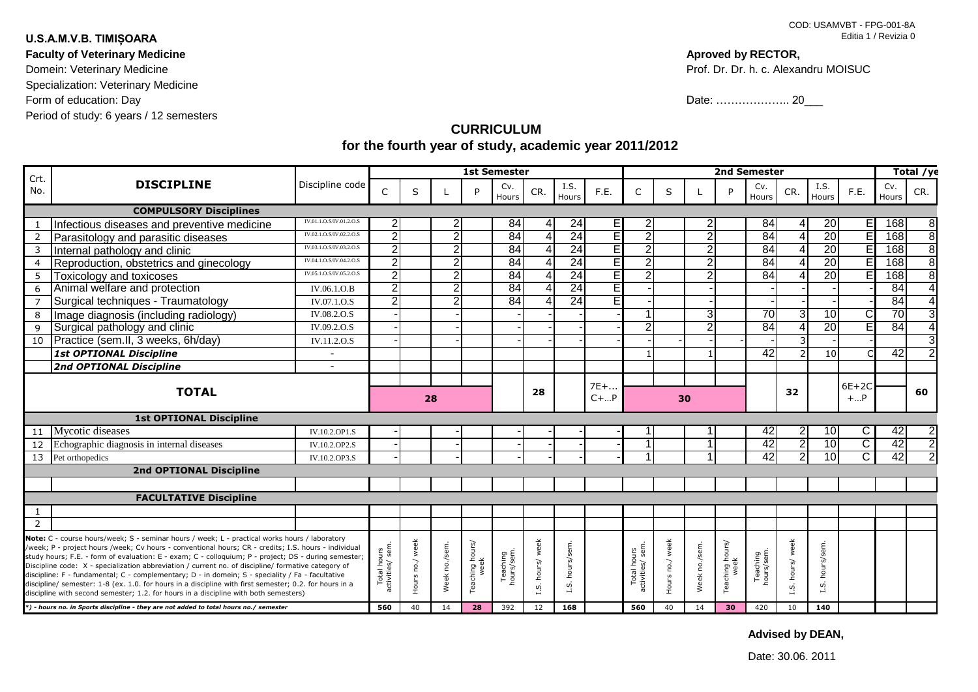## **U.S.A.M.V.B. TIMIȘOARA**

**Faculty of Veterinary Medicine**

Domein: Veterinary Medicine Specialization: Veterinary Medicine Form of education: Day Period of study: 6 years / 12 semesters

## **Aproved by RECTOR,**

Prof. Dr. Dr. h. c. Alexandru MOISUC

Date: ………………… 20\_\_\_\_

## **CURRICULUM for the fourth year of study, academic year 2011/2012**

| Crt.                                                                                                                                                                                                                                                                                                                                                                                                                                                                                                                                                                                                                                                                                                                                                                                                                | <b>DISCIPLINE</b>                           | Discipline code         | <b>1st Semester</b>             |                 |                |                         |                        |                     |                           |          | 2nd Semester                   |                 |                |                         |                        |                  |                   |         | Total /ye    |     |
|---------------------------------------------------------------------------------------------------------------------------------------------------------------------------------------------------------------------------------------------------------------------------------------------------------------------------------------------------------------------------------------------------------------------------------------------------------------------------------------------------------------------------------------------------------------------------------------------------------------------------------------------------------------------------------------------------------------------------------------------------------------------------------------------------------------------|---------------------------------------------|-------------------------|---------------------------------|-----------------|----------------|-------------------------|------------------------|---------------------|---------------------------|----------|--------------------------------|-----------------|----------------|-------------------------|------------------------|------------------|-------------------|---------|--------------|-----|
| No.                                                                                                                                                                                                                                                                                                                                                                                                                                                                                                                                                                                                                                                                                                                                                                                                                 |                                             |                         | C                               | S               |                | P                       | Cv.<br>Hours           | CR.                 | I.S.<br>Hours             | F.E.     | C                              | S               |                | D                       | Cv.<br>Hours           | CR.              | I.S.<br>Hours     | F.E.    | Cv.<br>Hours | CR. |
| <b>COMPULSORY Disciplines</b>                                                                                                                                                                                                                                                                                                                                                                                                                                                                                                                                                                                                                                                                                                                                                                                       |                                             |                         |                                 |                 |                |                         |                        |                     |                           |          |                                |                 |                |                         |                        |                  |                   |         |              |     |
|                                                                                                                                                                                                                                                                                                                                                                                                                                                                                                                                                                                                                                                                                                                                                                                                                     | Infectious diseases and preventive medicine | IV.01.1.O.S/IV.01.2.O   | 2                               |                 | 2              |                         | 84                     | 4                   | 24                        |          | 2                              |                 | 2              |                         | 84                     |                  | 20                | E.      | 168          |     |
| $\overline{2}$                                                                                                                                                                                                                                                                                                                                                                                                                                                                                                                                                                                                                                                                                                                                                                                                      | Parasitology and parasitic diseases         | IV.02.1.O.S/IV.02.2.O.  | 2                               |                 | $\overline{2}$ |                         | 84                     | $\overline{4}$      | 24                        |          | $\overline{2}$                 |                 | $\overline{2}$ |                         | 84                     |                  | 20                | Ē       | 168          |     |
| 3                                                                                                                                                                                                                                                                                                                                                                                                                                                                                                                                                                                                                                                                                                                                                                                                                   | Internal pathology and clinic               | IV.03.1.O.S/IV.03.2.O.S | $\overline{2}$                  |                 | 2              |                         | 84                     | 4                   | 24                        | ΕI       | $\mathbf{2}$                   |                 | 2              |                         | 84                     |                  | 20                |         | 168          | 8   |
| 4                                                                                                                                                                                                                                                                                                                                                                                                                                                                                                                                                                                                                                                                                                                                                                                                                   | Reproduction, obstetrics and ginecology     | IV.04.1.O.S/IV.04.2.O.S | 2                               |                 | $\overline{2}$ |                         | 84                     | 4                   | 24                        | EI       | $\overline{2}$                 |                 | $\overline{2}$ |                         | 84                     |                  | 20                | F       | 168          | 8   |
| 5                                                                                                                                                                                                                                                                                                                                                                                                                                                                                                                                                                                                                                                                                                                                                                                                                   | Toxicology and toxicoses                    | IV.05.1.O.S/IV.05.2.O.S | 2                               |                 | $\overline{2}$ |                         | 84                     | 4                   | 24                        | E        | $\mathfrak{p}$                 |                 | $\overline{2}$ |                         | 84                     |                  | 20                |         | 168          |     |
| 6                                                                                                                                                                                                                                                                                                                                                                                                                                                                                                                                                                                                                                                                                                                                                                                                                   | Animal welfare and protection               | IV.06.1.O.B             | 2                               |                 | $\overline{2}$ |                         | 84                     | $\overline{4}$      | 24                        | El       |                                |                 |                |                         |                        |                  |                   |         | 84           |     |
| $\overline{7}$                                                                                                                                                                                                                                                                                                                                                                                                                                                                                                                                                                                                                                                                                                                                                                                                      | Surgical techniques - Traumatology          | IV.07.1.O.S             | 2                               |                 | $\overline{2}$ |                         | 84                     | 4                   | 24                        | T        |                                |                 |                |                         |                        |                  |                   |         | 84           |     |
| 8                                                                                                                                                                                                                                                                                                                                                                                                                                                                                                                                                                                                                                                                                                                                                                                                                   | Image diagnosis (including radiology)       | <b>IV.08.2.O.S</b>      |                                 |                 |                |                         |                        |                     |                           |          |                                |                 | 3              |                         | 70                     | 3                | 10                |         | 70           |     |
| 9                                                                                                                                                                                                                                                                                                                                                                                                                                                                                                                                                                                                                                                                                                                                                                                                                   | Surgical pathology and clinic               | IV.09.2.O.S             |                                 |                 |                |                         |                        |                     |                           |          | $\overline{2}$                 |                 | $\overline{2}$ |                         | 84                     |                  | 20                |         | 84           |     |
| 10                                                                                                                                                                                                                                                                                                                                                                                                                                                                                                                                                                                                                                                                                                                                                                                                                  | Practice (sem.II, 3 weeks, 6h/day)          | <b>IV.11.2.O.S</b>      |                                 |                 |                |                         |                        |                     |                           |          |                                |                 |                |                         |                        |                  |                   |         |              |     |
|                                                                                                                                                                                                                                                                                                                                                                                                                                                                                                                                                                                                                                                                                                                                                                                                                     | <b>1st OPTIONAL Discipline</b>              |                         |                                 |                 |                |                         |                        |                     |                           |          |                                |                 |                |                         | $\overline{42}$        |                  | 10 <sup>1</sup>   |         | 42           |     |
|                                                                                                                                                                                                                                                                                                                                                                                                                                                                                                                                                                                                                                                                                                                                                                                                                     | 2nd OPTIONAL Discipline                     |                         |                                 |                 |                |                         |                        |                     |                           |          |                                |                 |                |                         |                        |                  |                   |         |              |     |
| <b>TOTAL</b>                                                                                                                                                                                                                                                                                                                                                                                                                                                                                                                                                                                                                                                                                                                                                                                                        |                                             |                         |                                 |                 |                |                         |                        |                     |                           | $7E+.$   |                                |                 |                |                         |                        |                  |                   | $6E+2C$ |              |     |
|                                                                                                                                                                                                                                                                                                                                                                                                                                                                                                                                                                                                                                                                                                                                                                                                                     |                                             |                         | 28                              |                 |                |                         |                        | 28                  |                           | $C +  P$ | 30                             |                 |                |                         | 32                     |                  | $+P$              |         | 60           |     |
| <b>1st OPTIONAL Discipline</b>                                                                                                                                                                                                                                                                                                                                                                                                                                                                                                                                                                                                                                                                                                                                                                                      |                                             |                         |                                 |                 |                |                         |                        |                     |                           |          |                                |                 |                |                         |                        |                  |                   |         |              |     |
| 11                                                                                                                                                                                                                                                                                                                                                                                                                                                                                                                                                                                                                                                                                                                                                                                                                  | Mycotic diseases                            | IV.10.2.OP1.S           |                                 |                 |                |                         |                        |                     |                           |          |                                |                 |                |                         | 42                     | $\overline{2}$   | 10 <sup>1</sup>   | C.      | 42           |     |
| 12                                                                                                                                                                                                                                                                                                                                                                                                                                                                                                                                                                                                                                                                                                                                                                                                                  | Echographic diagnosis in internal diseases  | IV.10.2.OP2.S           |                                 |                 |                |                         |                        |                     |                           |          |                                |                 |                |                         | 42                     | $\overline{2}$   | 10                | C       | 42           |     |
| 13                                                                                                                                                                                                                                                                                                                                                                                                                                                                                                                                                                                                                                                                                                                                                                                                                  | Pet orthopedics                             | IV.10.2.OP3.S           |                                 |                 |                |                         |                        |                     |                           |          |                                |                 |                |                         | 42                     | $\overline{2}$   | 10                | C       | 42           |     |
| <b>2nd OPTIONAL Discipline</b>                                                                                                                                                                                                                                                                                                                                                                                                                                                                                                                                                                                                                                                                                                                                                                                      |                                             |                         |                                 |                 |                |                         |                        |                     |                           |          |                                |                 |                |                         |                        |                  |                   |         |              |     |
|                                                                                                                                                                                                                                                                                                                                                                                                                                                                                                                                                                                                                                                                                                                                                                                                                     |                                             |                         |                                 |                 |                |                         |                        |                     |                           |          |                                |                 |                |                         |                        |                  |                   |         |              |     |
|                                                                                                                                                                                                                                                                                                                                                                                                                                                                                                                                                                                                                                                                                                                                                                                                                     | <b>FACULTATIVE Discipline</b>               |                         |                                 |                 |                |                         |                        |                     |                           |          |                                |                 |                |                         |                        |                  |                   |         |              |     |
| 1                                                                                                                                                                                                                                                                                                                                                                                                                                                                                                                                                                                                                                                                                                                                                                                                                   |                                             |                         |                                 |                 |                |                         |                        |                     |                           |          |                                |                 |                |                         |                        |                  |                   |         |              |     |
| $\overline{2}$                                                                                                                                                                                                                                                                                                                                                                                                                                                                                                                                                                                                                                                                                                                                                                                                      |                                             |                         |                                 |                 |                |                         |                        |                     |                           |          |                                |                 |                |                         |                        |                  |                   |         |              |     |
| Note: C - course hours/week; S - seminar hours / week; L - practical works hours / laboratory<br>/week; P - project hours /week; Cv hours - conventional hours; CR - credits; I.S. hours - individual<br>study hours; F.E. - form of evaluation: E - exam; C - colloquium; P - project; DS - during semester;<br>Discipline code: X - specialization abbreviation / current no. of discipline/ formative category of<br>discipline: F - fundamental; C - complementary; D - in domein; S - speciality / Fa - facultative<br>discipline/ semester: 1-8 (ex. 1.0. for hours in a discipline with first semester; 0.2. for hours in a<br>discipline with second semester; 1.2. for hours in a discipline with both semesters)<br>*) - hours no. in Sports discipline - they are not added to total hours no./ semester |                                             |                         | Total hours<br>activities/ sem. | Hours no./ week | Week no./sem.  | Teaching hours/<br>week | Teaching<br>hours/sem. | week<br>hours/<br>u | hours/sem.<br><b>L.S.</b> |          | Total hours<br>activities/sem. | Hours no./ week | Week no./sem.  | Teaching hours/<br>week | Teaching<br>hours/sem. | I.S. hours/ week | hours/sem<br>I.S. |         |              |     |
|                                                                                                                                                                                                                                                                                                                                                                                                                                                                                                                                                                                                                                                                                                                                                                                                                     |                                             |                         | 560                             | 40              | 14             | 28                      | 392                    | 12                  | 168                       |          | 560                            | 40              | 14             | 30                      | 420                    | 10               | 140               |         |              |     |

**Advised by DEAN,**